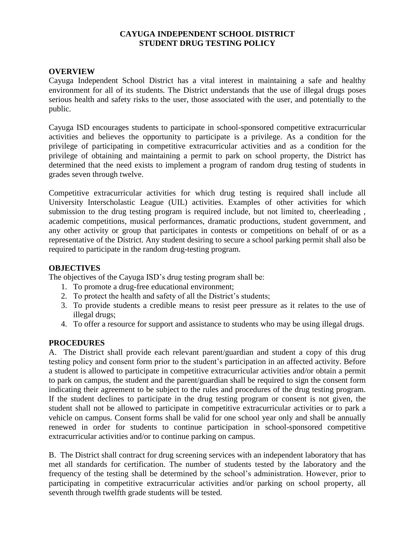# **CAYUGA INDEPENDENT SCHOOL DISTRICT STUDENT DRUG TESTING POLICY**

## **OVERVIEW**

Cayuga Independent School District has a vital interest in maintaining a safe and healthy environment for all of its students. The District understands that the use of illegal drugs poses serious health and safety risks to the user, those associated with the user, and potentially to the public.

Cayuga ISD encourages students to participate in school-sponsored competitive extracurricular activities and believes the opportunity to participate is a privilege. As a condition for the privilege of participating in competitive extracurricular activities and as a condition for the privilege of obtaining and maintaining a permit to park on school property, the District has determined that the need exists to implement a program of random drug testing of students in grades seven through twelve.

Competitive extracurricular activities for which drug testing is required shall include all University Interscholastic League (UIL) activities. Examples of other activities for which submission to the drug testing program is required include, but not limited to, cheerleading , academic competitions, musical performances, dramatic productions, student government, and any other activity or group that participates in contests or competitions on behalf of or as a representative of the District. Any student desiring to secure a school parking permit shall also be required to participate in the random drug-testing program.

## **OBJECTIVES**

The objectives of the Cayuga ISD's drug testing program shall be:

- 1. To promote a drug-free educational environment;
- 2. To protect the health and safety of all the District's students;
- 3. To provide students a credible means to resist peer pressure as it relates to the use of illegal drugs;
- 4. To offer a resource for support and assistance to students who may be using illegal drugs.

# **PROCEDURES**

A. The District shall provide each relevant parent/guardian and student a copy of this drug testing policy and consent form prior to the student's participation in an affected activity. Before a student is allowed to participate in competitive extracurricular activities and/or obtain a permit to park on campus, the student and the parent/guardian shall be required to sign the consent form indicating their agreement to be subject to the rules and procedures of the drug testing program. If the student declines to participate in the drug testing program or consent is not given, the student shall not be allowed to participate in competitive extracurricular activities or to park a vehicle on campus. Consent forms shall be valid for one school year only and shall be annually renewed in order for students to continue participation in school-sponsored competitive extracurricular activities and/or to continue parking on campus.

B. The District shall contract for drug screening services with an independent laboratory that has met all standards for certification. The number of students tested by the laboratory and the frequency of the testing shall be determined by the school's administration. However, prior to participating in competitive extracurricular activities and/or parking on school property, all seventh through twelfth grade students will be tested.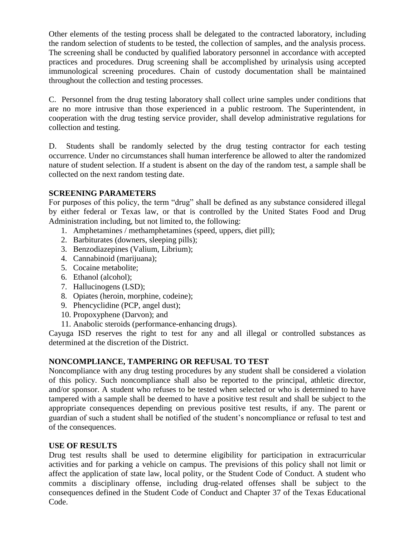Other elements of the testing process shall be delegated to the contracted laboratory, including the random selection of students to be tested, the collection of samples, and the analysis process. The screening shall be conducted by qualified laboratory personnel in accordance with accepted practices and procedures. Drug screening shall be accomplished by urinalysis using accepted immunological screening procedures. Chain of custody documentation shall be maintained throughout the collection and testing processes.

C. Personnel from the drug testing laboratory shall collect urine samples under conditions that are no more intrusive than those experienced in a public restroom. The Superintendent, in cooperation with the drug testing service provider, shall develop administrative regulations for collection and testing.

D. Students shall be randomly selected by the drug testing contractor for each testing occurrence. Under no circumstances shall human interference be allowed to alter the randomized nature of student selection. If a student is absent on the day of the random test, a sample shall be collected on the next random testing date.

# **SCREENING PARAMETERS**

For purposes of this policy, the term "drug" shall be defined as any substance considered illegal by either federal or Texas law, or that is controlled by the United States Food and Drug Administration including, but not limited to, the following:

- 1. Amphetamines / methamphetamines (speed, uppers, diet pill);
- 2. Barbiturates (downers, sleeping pills);
- 3. Benzodiazepines (Valium, Librium);
- 4. Cannabinoid (marijuana);
- 5. Cocaine metabolite;
- 6. Ethanol (alcohol);
- 7. Hallucinogens (LSD);
- 8. Opiates (heroin, morphine, codeine);
- 9. Phencyclidine (PCP, angel dust);
- 10. Propoxyphene (Darvon); and
- 11. Anabolic steroids (performance-enhancing drugs).

Cayuga ISD reserves the right to test for any and all illegal or controlled substances as determined at the discretion of the District.

# **NONCOMPLIANCE, TAMPERING OR REFUSAL TO TEST**

Noncompliance with any drug testing procedures by any student shall be considered a violation of this policy. Such noncompliance shall also be reported to the principal, athletic director, and/or sponsor. A student who refuses to be tested when selected or who is determined to have tampered with a sample shall be deemed to have a positive test result and shall be subject to the appropriate consequences depending on previous positive test results, if any. The parent or guardian of such a student shall be notified of the student's noncompliance or refusal to test and of the consequences.

# **USE OF RESULTS**

Drug test results shall be used to determine eligibility for participation in extracurricular activities and for parking a vehicle on campus. The previsions of this policy shall not limit or affect the application of state law, local polity, or the Student Code of Conduct. A student who commits a disciplinary offense, including drug-related offenses shall be subject to the consequences defined in the Student Code of Conduct and Chapter 37 of the Texas Educational Code.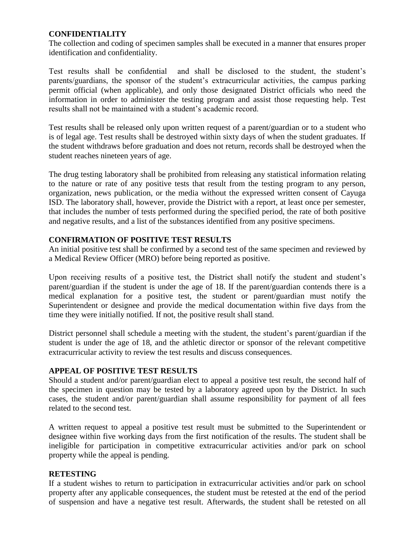# **CONFIDENTIALITY**

The collection and coding of specimen samples shall be executed in a manner that ensures proper identification and confidentiality.

Test results shall be confidential and shall be disclosed to the student, the student's parents/guardians, the sponsor of the student's extracurricular activities, the campus parking permit official (when applicable), and only those designated District officials who need the information in order to administer the testing program and assist those requesting help. Test results shall not be maintained with a student's academic record.

Test results shall be released only upon written request of a parent/guardian or to a student who is of legal age. Test results shall be destroyed within sixty days of when the student graduates. If the student withdraws before graduation and does not return, records shall be destroyed when the student reaches nineteen years of age.

The drug testing laboratory shall be prohibited from releasing any statistical information relating to the nature or rate of any positive tests that result from the testing program to any person, organization, news publication, or the media without the expressed written consent of Cayuga ISD. The laboratory shall, however, provide the District with a report, at least once per semester, that includes the number of tests performed during the specified period, the rate of both positive and negative results, and a list of the substances identified from any positive specimens.

## **CONFIRMATION OF POSITIVE TEST RESULTS**

An initial positive test shall be confirmed by a second test of the same specimen and reviewed by a Medical Review Officer (MRO) before being reported as positive.

Upon receiving results of a positive test, the District shall notify the student and student's parent/guardian if the student is under the age of 18. If the parent/guardian contends there is a medical explanation for a positive test, the student or parent/guardian must notify the Superintendent or designee and provide the medical documentation within five days from the time they were initially notified. If not, the positive result shall stand.

District personnel shall schedule a meeting with the student, the student's parent/guardian if the student is under the age of 18, and the athletic director or sponsor of the relevant competitive extracurricular activity to review the test results and discuss consequences.

## **APPEAL OF POSITIVE TEST RESULTS**

Should a student and/or parent/guardian elect to appeal a positive test result, the second half of the specimen in question may be tested by a laboratory agreed upon by the District. In such cases, the student and/or parent/guardian shall assume responsibility for payment of all fees related to the second test.

A written request to appeal a positive test result must be submitted to the Superintendent or designee within five working days from the first notification of the results. The student shall be ineligible for participation in competitive extracurricular activities and/or park on school property while the appeal is pending.

## **RETESTING**

If a student wishes to return to participation in extracurricular activities and/or park on school property after any applicable consequences, the student must be retested at the end of the period of suspension and have a negative test result. Afterwards, the student shall be retested on all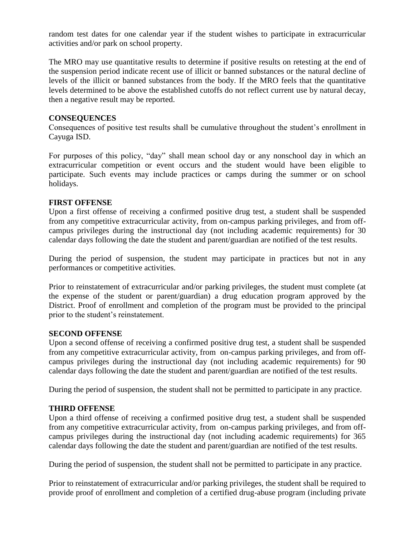random test dates for one calendar year if the student wishes to participate in extracurricular activities and/or park on school property.

The MRO may use quantitative results to determine if positive results on retesting at the end of the suspension period indicate recent use of illicit or banned substances or the natural decline of levels of the illicit or banned substances from the body. If the MRO feels that the quantitative levels determined to be above the established cutoffs do not reflect current use by natural decay, then a negative result may be reported.

## **CONSEQUENCES**

Consequences of positive test results shall be cumulative throughout the student's enrollment in Cayuga ISD.

For purposes of this policy, "day" shall mean school day or any nonschool day in which an extracurricular competition or event occurs and the student would have been eligible to participate. Such events may include practices or camps during the summer or on school holidays.

### **FIRST OFFENSE**

Upon a first offense of receiving a confirmed positive drug test, a student shall be suspended from any competitive extracurricular activity, from on-campus parking privileges, and from offcampus privileges during the instructional day (not including academic requirements) for 30 calendar days following the date the student and parent/guardian are notified of the test results.

During the period of suspension, the student may participate in practices but not in any performances or competitive activities.

Prior to reinstatement of extracurricular and/or parking privileges, the student must complete (at the expense of the student or parent/guardian) a drug education program approved by the District. Proof of enrollment and completion of the program must be provided to the principal prior to the student's reinstatement.

#### **SECOND OFFENSE**

Upon a second offense of receiving a confirmed positive drug test, a student shall be suspended from any competitive extracurricular activity, from on-campus parking privileges, and from offcampus privileges during the instructional day (not including academic requirements) for 90 calendar days following the date the student and parent/guardian are notified of the test results.

During the period of suspension, the student shall not be permitted to participate in any practice.

## **THIRD OFFENSE**

Upon a third offense of receiving a confirmed positive drug test, a student shall be suspended from any competitive extracurricular activity, from on-campus parking privileges, and from offcampus privileges during the instructional day (not including academic requirements) for 365 calendar days following the date the student and parent/guardian are notified of the test results.

During the period of suspension, the student shall not be permitted to participate in any practice.

Prior to reinstatement of extracurricular and/or parking privileges, the student shall be required to provide proof of enrollment and completion of a certified drug-abuse program (including private